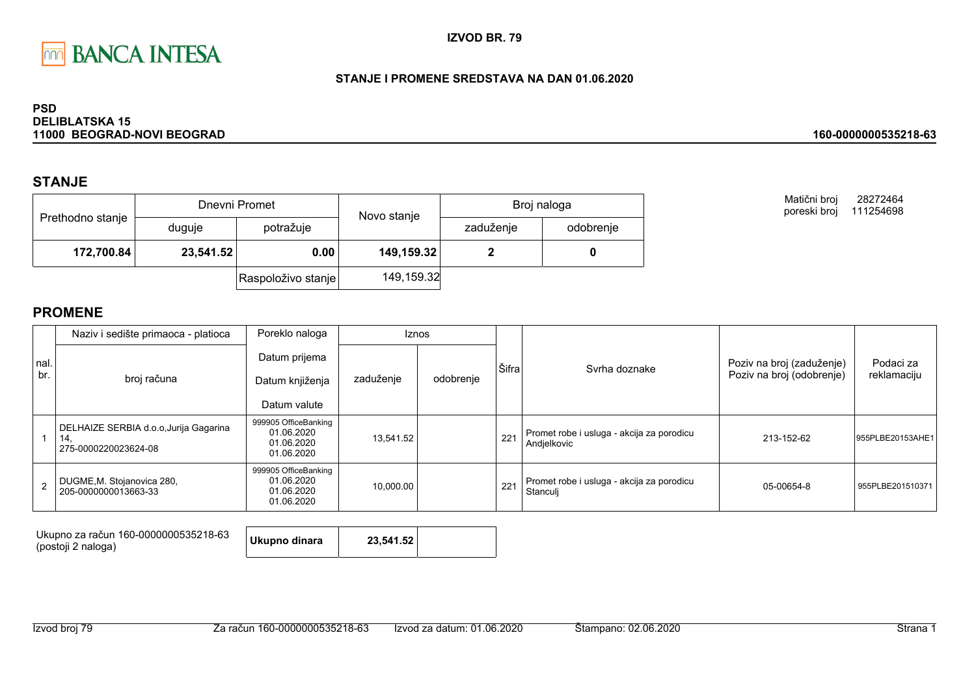

### STANJE I PROMENE SREDSTAVA NA DAN 01.06.2020

#### **PSD DELIBLATSKA 15** 11000 BEOGRAD-NOVI BEOGRAD

## **STANJE**

|                  |           | Dnevni Promet      | Novo stanje | Broj naloga |           |
|------------------|-----------|--------------------|-------------|-------------|-----------|
| Prethodno stanje | duguje    | potražuje          |             | zaduženje   | odobrenje |
| 172,700.84       | 23,541.52 | 0.00               | 149,159.32  |             |           |
|                  |           | Raspoloživo stanje | 149,159.32  |             |           |

Matični broj 28272464 poreski broj 111254698

160-0000000535218-63

|      | Naziv i sedište primaoca - platioca                                  | Poreklo naloga                                                 |           | <b>Iznos</b> |       |                                                          |                           |                  |
|------|----------------------------------------------------------------------|----------------------------------------------------------------|-----------|--------------|-------|----------------------------------------------------------|---------------------------|------------------|
| nal. |                                                                      | Datum prijema                                                  |           |              | Šifra | Syrha doznake                                            | Poziv na broj (zaduženje) | Podaci za        |
| br.  | broj računa                                                          | Datum knjiženja                                                | zaduženje | odobrenje    |       |                                                          | Poziv na broj (odobrenje) | reklamaciju      |
|      |                                                                      | Datum valute                                                   |           |              |       |                                                          |                           |                  |
|      | DELHAIZE SERBIA d.o.o.Jurija Gagarina<br>14.<br>275-0000220023624-08 | 999905 OfficeBanking<br>01.06.2020<br>01.06.2020<br>01.06.2020 | 13,541.52 |              | 221   | Promet robe i usluga - akcija za porodicu<br>Andjelkovic | 213-152-62                | 955PLBE20153AHE1 |
|      | DUGME, M. Stojanovica 280,<br>205-0000000013663-33                   | 999905 OfficeBanking<br>01.06.2020<br>01.06.2020<br>01.06.2020 | 10,000.00 |              | 221   | Promet robe i usluga - akcija za porodicu<br>Stanculj    | 05-00654-8                | 955PLBE201510371 |

| Ukupno za račun 160-0000000535218-63<br>(postoji 2 naloga) | Ukupno dinara | 23,541.52 |  |
|------------------------------------------------------------|---------------|-----------|--|
|------------------------------------------------------------|---------------|-----------|--|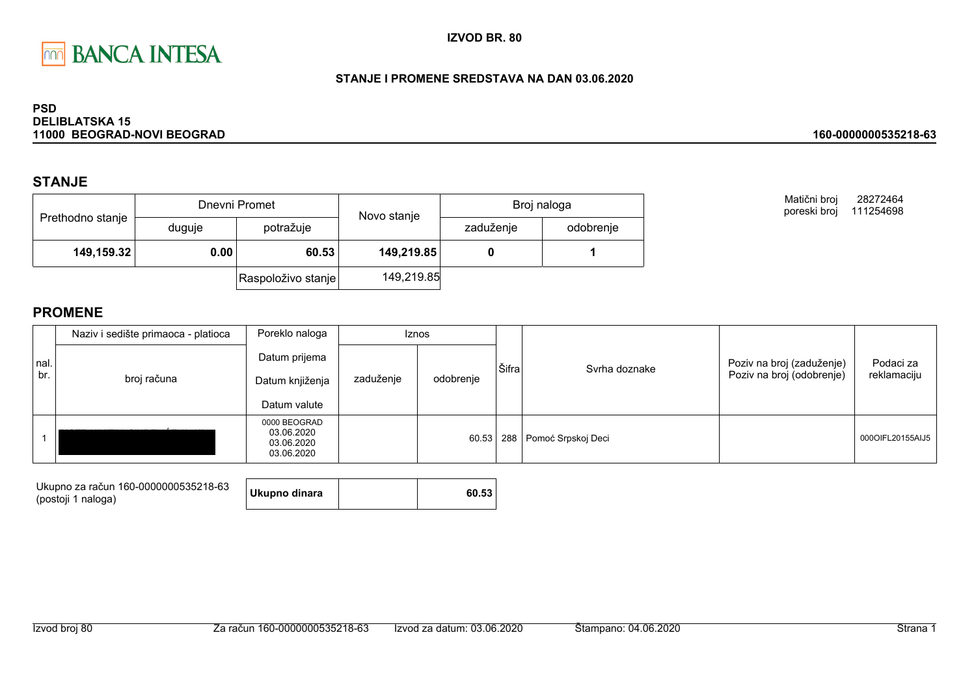

### STANJE I PROMENE SREDSTAVA NA DAN 03.06.2020

#### **PSD DELIBLATSKA 15** 11000 BEOGRAD-NOVI BEOGRAD

## **STANJE**

|                  |        | Dnevni Promet      | Novo stanje | Broj naloga |           |
|------------------|--------|--------------------|-------------|-------------|-----------|
| Prethodno stanje | duguje | potražuje          |             | zaduženje   | odobrenje |
| 149,159.32       | 0.00   | 60.53              | 149,219.85  |             |           |
|                  |        | Raspoloživo stanje | 149,219.85  |             |           |

Matični broj 28272464 poreski broj 111254698

160-0000000535218-63

|             | Naziv i sedište primaoca - platioca | Poreklo naloga                                         | Iznos     |           |       |                        |                                                        |                          |
|-------------|-------------------------------------|--------------------------------------------------------|-----------|-----------|-------|------------------------|--------------------------------------------------------|--------------------------|
| nal.<br>br. | broj računa                         | Datum prijema<br>Datum knjiženja<br>Datum valute       | zaduženje | odobrenje | Šifra | Syrha doznake          | Poziv na broj (zaduženje)<br>Poziv na broj (odobrenje) | Podaci za<br>reklamaciju |
|             |                                     | 0000 BEOGRAD<br>03.06.2020<br>03.06.2020<br>03.06.2020 |           | 60.53     |       | 288 Pomoć Srpskoj Deci |                                                        | 000OIFL20155AIJ5         |

| Ukupno za račun 160-0000000535218-63 | Ukupno dinara | 60.53 |
|--------------------------------------|---------------|-------|
| (postoji 1 naloga)                   |               |       |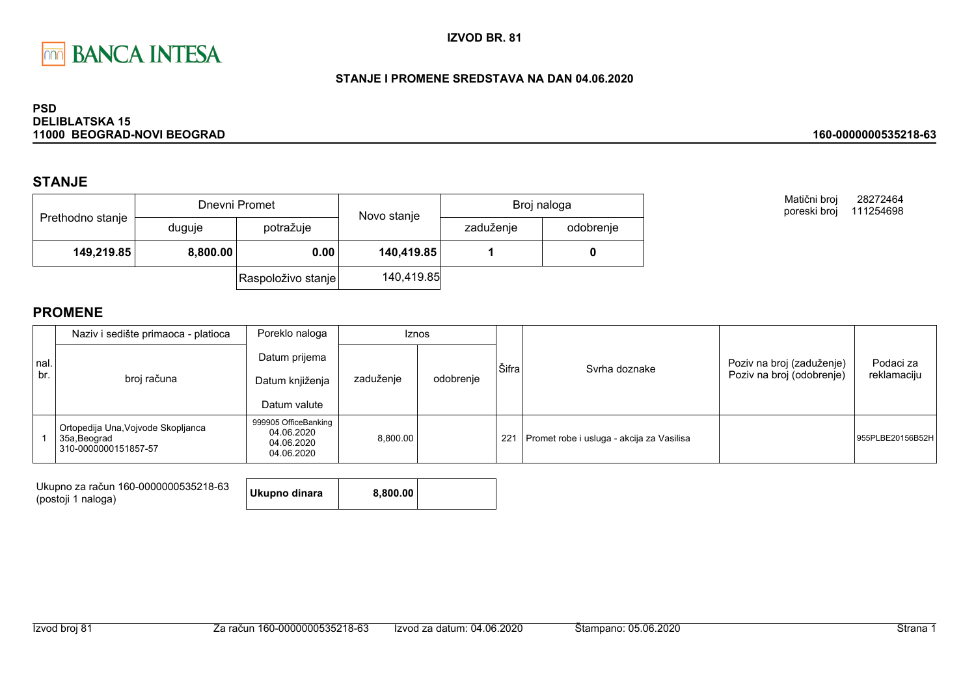

### STANJE I PROMENE SREDSTAVA NA DAN 04.06.2020

#### **PSD DELIBLATSKA 15** 11000 BEOGRAD-NOVI BEOGRAD

## **STANJE**

|                  |          | Dnevni Promet      | Novo stanje | Broj naloga |           |
|------------------|----------|--------------------|-------------|-------------|-----------|
| Prethodno stanje | duguje   | potražuje          |             | zaduženje   | odobrenje |
| 149,219.85       | 8,800.00 | 0.00               | 140,419.85  |             |           |
|                  |          | Raspoloživo stanje | 140,419.85  |             |           |

Matični broj 28272464 poreski broj 111254698

160-0000000535218-63

|              | Naziv i sedište primaoca - platioca                                        | Poreklo naloga                                                 | <b>Iznos</b>           |  |       |                                           |                                                        |                          |
|--------------|----------------------------------------------------------------------------|----------------------------------------------------------------|------------------------|--|-------|-------------------------------------------|--------------------------------------------------------|--------------------------|
| Inal.<br>br. | broj računa                                                                | Datum prijema<br>Datum knjiženja<br>Datum valute               | zaduženje<br>odobrenje |  | Šifra | Syrha doznake                             | Poziv na broj (zaduženje)<br>Poziv na broj (odobrenje) | Podaci za<br>reklamaciju |
|              | Ortopedija Una, Vojvode Skopljanca<br>35a, Beograd<br>310-0000000151857-57 | 999905 OfficeBanking<br>04.06.2020<br>04.06.2020<br>04.06.2020 | 8.800.00               |  | 221   | Promet robe i usluga - akcija za Vasilisa |                                                        | 955PLBE20156B52H         |

| Ukupno za račun 160-0000000535218-63<br>(postoji 1 naloga) | Ukupno dinara | 8.800.00 |  |
|------------------------------------------------------------|---------------|----------|--|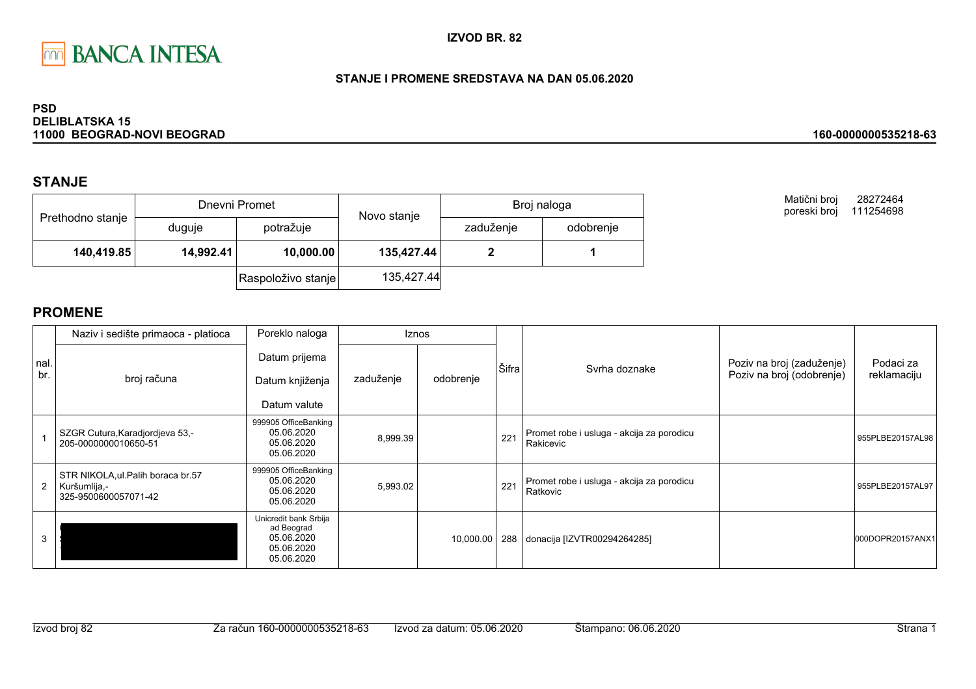

### STANJE I PROMENE SREDSTAVA NA DAN 05.06.2020

#### **PSD DELIBLATSKA 15** 11000 BEOGRAD-NOVI BEOGRAD

## **STANJE**

|                  |           | Dnevni Promet      | Novo stanje | Broj naloga |           |
|------------------|-----------|--------------------|-------------|-------------|-----------|
| Prethodno stanje | duguje    | potražuje          |             | zaduženje   | odobrenje |
| 140,419.85       | 14,992.41 | 10,000.00          | 135,427.44  |             |           |
|                  |           | Raspoloživo stanje | 135,427.44  |             |           |

Matični broj 28272464 poreski broj 111254698

160-0000000535218-63

|                | Naziv i sedište primaoca - platioca                                        | Poreklo naloga                                                                |           | <b>Iznos</b> |       |                                                        |                                                        |                          |
|----------------|----------------------------------------------------------------------------|-------------------------------------------------------------------------------|-----------|--------------|-------|--------------------------------------------------------|--------------------------------------------------------|--------------------------|
| nal.<br>br.    | broj računa                                                                | Datum prijema<br>Datum knjiženja<br>Datum valute                              | zaduženje | odobrenje    | Šifra | Syrha doznake                                          | Poziv na broj (zaduženje)<br>Poziv na broj (odobrenje) | Podaci za<br>reklamaciju |
|                | SZGR Cutura, Karadjordjeva 53,-<br>205-0000000010650-51                    | 999905 OfficeBanking<br>05.06.2020<br>05.06.2020<br>05.06.2020                | 8,999.39  |              | 221   | Promet robe i usluga - akcija za porodicu<br>Rakicevic |                                                        | 955PLBE20157AL98         |
| $\overline{2}$ | STR NIKOLA, ul. Palih boraca br.57<br>Kuršumlija,-<br>325-9500600057071-42 | 999905 OfficeBanking<br>05.06.2020<br>05.06.2020<br>05.06.2020                | 5,993.02  |              | 221   | Promet robe i usluga - akcija za porodicu<br>Ratkovic  |                                                        | 955PLBE20157AL97         |
|                |                                                                            | Unicredit bank Srbija<br>ad Beograd<br>05.06.2020<br>05.06.2020<br>05.06.2020 |           | 10,000.00    |       | 288 donacija [IZVTR00294264285]                        |                                                        | 000DOPR20157ANX1         |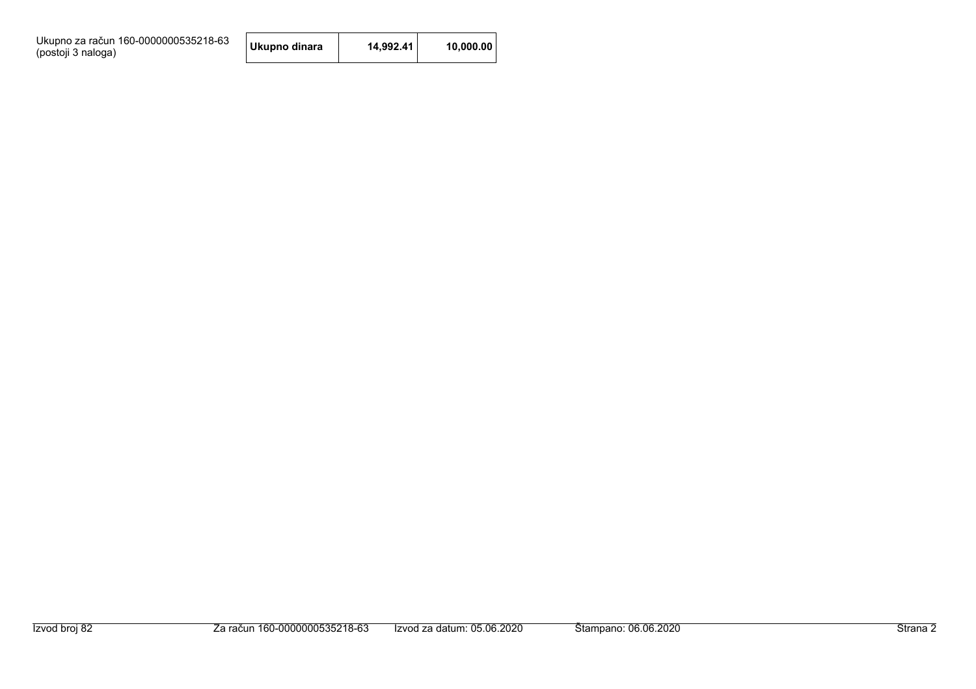Ukupno za račun 160-0000000535218-63<br>(postoji 3 naloga)

| Ukupno dinara | 14,992.41 | 10,000.00 |
|---------------|-----------|-----------|
|---------------|-----------|-----------|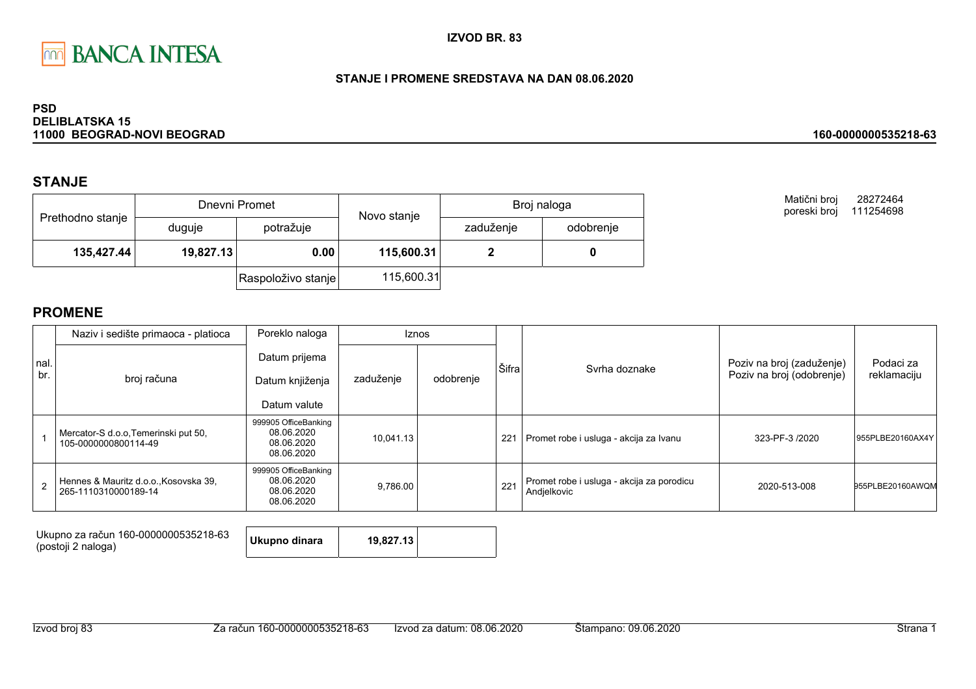

### STANJE I PROMENE SREDSTAVA NA DAN 08.06.2020

#### **PSD DELIBLATSKA 15** 11000 BEOGRAD-NOVI BEOGRAD

## **STANJE**

| Prethodno stanje |                   | Dnevni Promet      | Novo stanje | Broj naloga |           |  |
|------------------|-------------------|--------------------|-------------|-------------|-----------|--|
|                  | duguje            | potražuje          |             | zaduženje   | odobrenje |  |
| 135,427.44       | 19,827.13<br>0.00 |                    | 115,600.31  |             |           |  |
|                  |                   | Raspoloživo stanje | 115,600.31  |             |           |  |

Matični broj 28272464 poreski broj 111254698

160-0000000535218-63

|             | Naziv i sedište primaoca - platioca                           | Poreklo naloga                                                 |           | Iznos     |       |                                                          |                                                        |                          |
|-------------|---------------------------------------------------------------|----------------------------------------------------------------|-----------|-----------|-------|----------------------------------------------------------|--------------------------------------------------------|--------------------------|
| nal.<br>br. |                                                               | Datum prijema                                                  |           |           | Šifra | Svrha doznake                                            | Poziv na broj (zaduženje)<br>Poziv na broj (odobrenje) | Podaci za<br>reklamaciju |
|             | broj računa                                                   | Datum knjiženja                                                | zaduženje | odobrenje |       |                                                          |                                                        |                          |
|             |                                                               | Datum valute                                                   |           |           |       |                                                          |                                                        |                          |
|             | Mercator-S d.o.o, Temerinski put 50,<br>105-0000000800114-49  | 999905 OfficeBanking<br>08.06.2020<br>08.06.2020<br>08.06.2020 | 10,041.13 |           | 221   | Promet robe i usluga - akcija za Ivanu                   | 323-PF-3 /2020                                         | 955PLBE20160AX4Y         |
|             | Hennes & Mauritz d.o.o., Kosovska 39,<br>265-1110310000189-14 | 999905 OfficeBanking<br>08.06.2020<br>08.06.2020<br>08.06.2020 | 9,786.00  |           | 221   | Promet robe i usluga - akcija za porodicu<br>Andjelkovic | 2020-513-008                                           | 955PLBE20160AWQM         |

| Ukupno za račun 160-0000000535218-63<br>(postoji 2 naloga) | Ukupno dinara | 19.827.13 |  |
|------------------------------------------------------------|---------------|-----------|--|
|------------------------------------------------------------|---------------|-----------|--|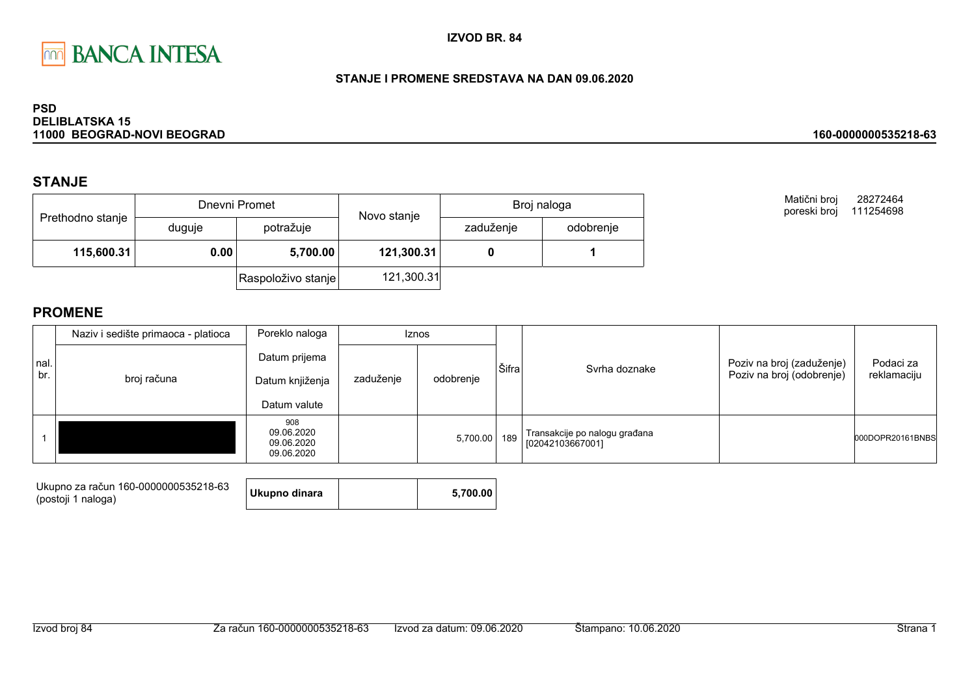

### STANJE I PROMENE SREDSTAVA NA DAN 09.06.2020

#### **PSD DELIBLATSKA 15** 11000 BEOGRAD-NOVI BEOGRAD

## **STANJE**

|                  |                  | Dnevni Promet      | Novo stanje | Broj naloga |           |  |
|------------------|------------------|--------------------|-------------|-------------|-----------|--|
| Prethodno stanje | duguje           | potražuje          |             | zaduženje   | odobrenje |  |
| 115,600.31       | 0.00<br>5,700.00 |                    | 121,300.31  |             |           |  |
|                  |                  | Raspoloživo stanje | 121,300.31  |             |           |  |

Matični broj 28272464 poreski broj 111254698

160-0000000535218-63

|             | Naziv i sedište primaoca - platioca | Poreklo naloga<br>Iznos                          |           |           |       |                                                   |                                                        |                          |
|-------------|-------------------------------------|--------------------------------------------------|-----------|-----------|-------|---------------------------------------------------|--------------------------------------------------------|--------------------------|
| nal.<br>br. | broj računa                         | Datum prijema<br>Datum knjiženja<br>Datum valute | zaduženje | odobrenje | Šifra | Svrha doznake                                     | Poziv na broj (zaduženje)<br>Poziv na broj (odobrenje) | Podaci za<br>reklamaciju |
|             |                                     | 908<br>09.06.2020<br>09.06.2020<br>09.06.2020    |           | 5,700.00  | 189   | Transakcije po nalogu građana<br>[02042103667001] |                                                        | 000DOPR20161BNBS         |

| Ukupno za račun 160-0000000535218-63<br>(postoji 1 naloga) | Ukupno dinara | 5.700.00 |
|------------------------------------------------------------|---------------|----------|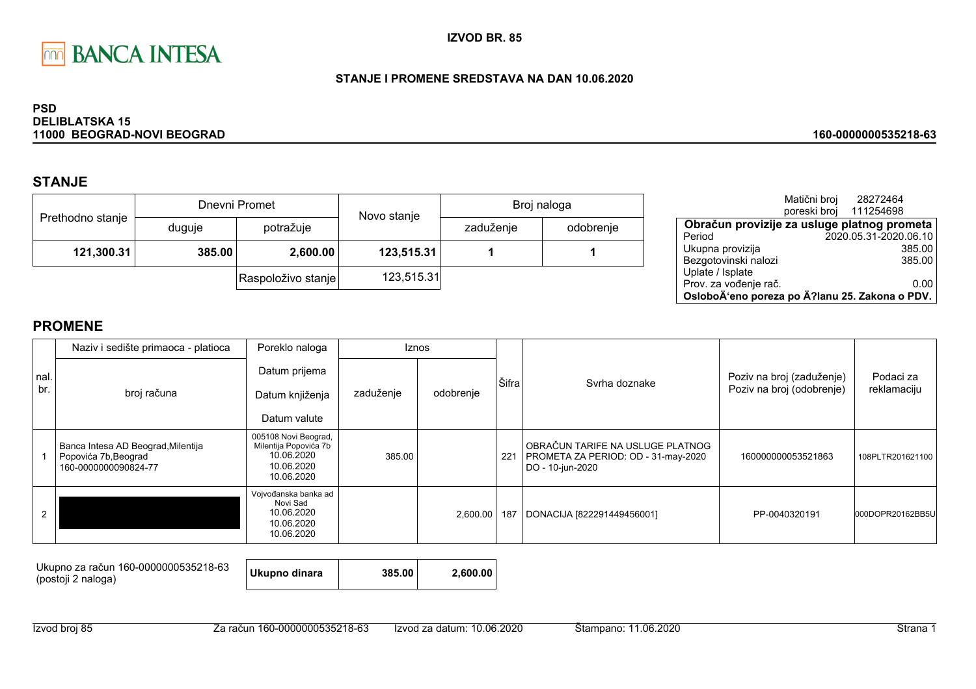

### STANJE I PROMENE SREDSTAVA NA DAN 10.06.2020

#### **PSD DELIBLATSKA 15** 11000 BEOGRAD-NOVI BEOGRAD

# **STANJE**

| Prethodno stanje |        | Dnevni Promet      | Novo stanje | Broj naloga |           |  |
|------------------|--------|--------------------|-------------|-------------|-----------|--|
|                  | duguje | potražuje          |             | zaduženje   | odobrenje |  |
| 121,300.31       | 385.00 | 2,600.00           | 123,515.31  |             |           |  |
|                  |        | Raspoloživo stanje | 123,515.31  |             |           |  |

|                                                | Matični broj | 28272464              |        |
|------------------------------------------------|--------------|-----------------------|--------|
|                                                | poreski broj | 111254698             |        |
| Obračun provizije za usluge platnog prometa    |              |                       |        |
| Period                                         |              | 2020.05.31-2020.06.10 |        |
| Ukupna provizija                               |              |                       | 385.00 |
| Bezgotovinski nalozi                           |              |                       | 385.00 |
| Uplate / Isplate                               |              |                       |        |
| Prov. za vođenje rač.                          |              |                       | 0.00   |
| OsloboÄ'eno poreza po Ä?lanu 25. Zakona o PDV. |              |                       |        |

160-0000000535218-63

|      | Naziv i sedište primaoca - platioca                                                | Poreklo naloga                                                                          |           | <b>Iznos</b> |       |                                                                                             |                           |                  |
|------|------------------------------------------------------------------------------------|-----------------------------------------------------------------------------------------|-----------|--------------|-------|---------------------------------------------------------------------------------------------|---------------------------|------------------|
| nal. |                                                                                    | Datum prijema                                                                           |           |              | Šifra | Syrha doznake                                                                               | Poziv na broj (zaduženje) | Podaci za        |
| br.  | broj računa                                                                        | Datum knjiženja                                                                         | zaduženje | odobrenje    |       |                                                                                             | Poziv na broj (odobrenje) | reklamaciju      |
|      |                                                                                    | Datum valute                                                                            |           |              |       |                                                                                             |                           |                  |
|      | Banca Intesa AD Beograd, Milentija<br>Popovića 7b, Beograd<br>160-0000000090824-77 | 005108 Novi Beograd,<br>Milentija Popovića 7b<br>10.06.2020<br>10.06.2020<br>10.06.2020 | 385.00    |              | 221   | OBRAČUN TARIFE NA USLUGE PLATNOG<br>PROMETA ZA PERIOD: OD - 31-may-2020<br>DO - 10-jun-2020 | 160000000053521863        | 108PLTR201621100 |
|      |                                                                                    | Vojvođanska banka ad<br>Novi Sad<br>10.06.2020<br>10.06.2020<br>10.06.2020              |           | 2,600.00     | 187   | DONACIJA [822291449456001]                                                                  | PP-0040320191             | 000DOPR20162BB5U |

| Ukupno za račun 160-0000000535218-63<br>(postoji 2 naloga) | Ukupno dinara<br>385.00 | 2.600.00 |
|------------------------------------------------------------|-------------------------|----------|
|------------------------------------------------------------|-------------------------|----------|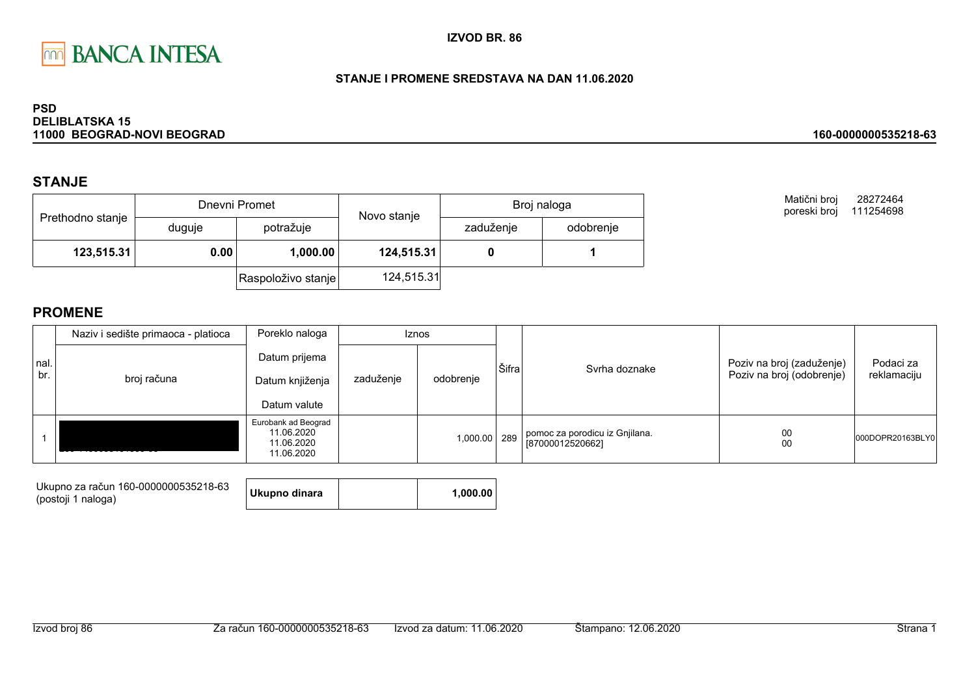

### STANJE I PROMENE SREDSTAVA NA DAN 11.06.2020

#### **PSD DELIBLATSKA 15** 11000 BEOGRAD-NOVI BEOGRAD

## **STANJE**

|                  |        | Dnevni Promet      | Novo stanje | Broj naloga |           |  |
|------------------|--------|--------------------|-------------|-------------|-----------|--|
| Prethodno stanje | duguje | potražuje          |             | zaduženje   | odobrenje |  |
| 123,515.31       | 0.00   | 1,000.00           | 124,515.31  |             |           |  |
|                  |        | Raspoloživo stanje | 124,515.31  |             |           |  |

Matični broj 28272464 poreski broj 111254698

160-0000000535218-63

|             | Naziv i sedište primaoca - platioca | Poreklo naloga                                                |           | <b>Iznos</b> |       |                                                    |                                                        |                          |
|-------------|-------------------------------------|---------------------------------------------------------------|-----------|--------------|-------|----------------------------------------------------|--------------------------------------------------------|--------------------------|
| nal.<br>br. | broj računa                         | Datum prijema<br>Datum knjiženja<br>Datum valute              | zaduženje | odobrenje    | Šifra | Syrha doznake                                      | Poziv na broj (zaduženje)<br>Poziv na broj (odobrenje) | Podaci za<br>reklamaciju |
|             |                                     | Eurobank ad Beograd<br>11.06.2020<br>11.06.2020<br>11.06.2020 |           | 1,000.00     | 289   | pomoc za porodicu iz Gnjilana.<br>[87000012520662] | 00<br>00                                               | 000DOPR20163BLY0         |

| Ukupno za račun 160-0000000535218-63 | Ukupno dinara | 1.000.00 |
|--------------------------------------|---------------|----------|
| (postoji 1 naloga)                   |               |          |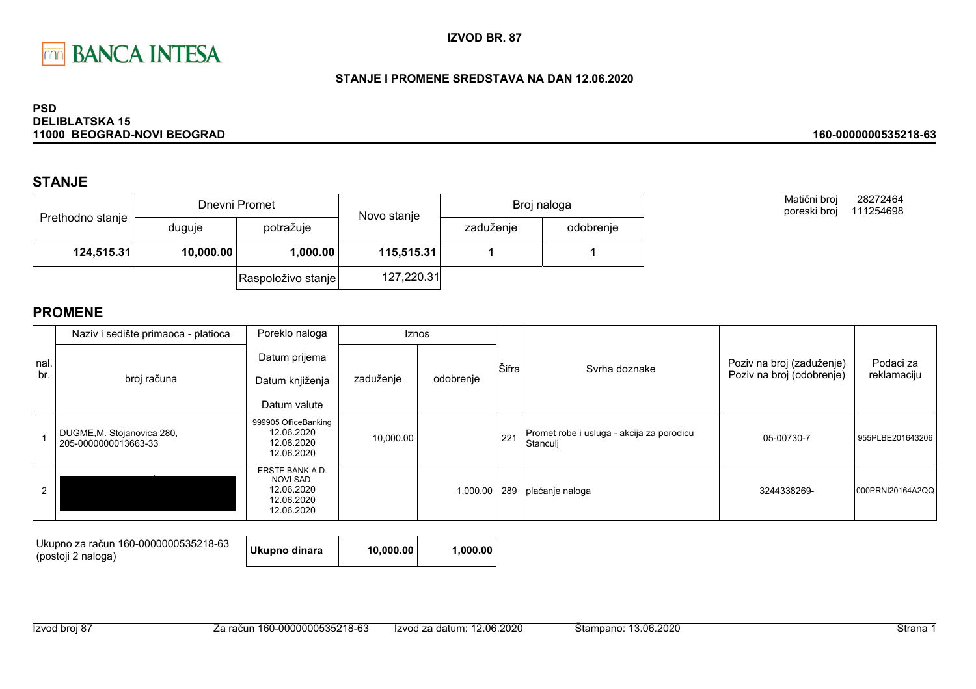

### STANJE I PROMENE SREDSTAVA NA DAN 12.06.2020

#### **PSD DELIBLATSKA 15** 11000 BEOGRAD-NOVI BEOGRAD

## **STANJE**

|                  |           | Dnevni Promet      | Novo stanje | Broj naloga |           |
|------------------|-----------|--------------------|-------------|-------------|-----------|
| Prethodno stanje | duguje    | potražuje          |             | zaduženje   | odobrenje |
| 124,515.31       | 10,000.00 | 1,000.00           | 115,515.31  |             |           |
|                  |           | Raspoloživo stanje | 127,220.31  |             |           |

Matični broj 28272464 poreski broj 111254698

160-0000000535218-63

## **PROMENE**

|      | Naziv i sedište primaoca - platioca                | Poreklo naloga                                                                      |           | <b>Iznos</b> |       |                                                       |                           |                  |
|------|----------------------------------------------------|-------------------------------------------------------------------------------------|-----------|--------------|-------|-------------------------------------------------------|---------------------------|------------------|
| nal. |                                                    | Datum prijema                                                                       |           |              | Šifra | Syrha doznake                                         | Poziv na broj (zaduženje) | Podaci za        |
| br.  | broj računa                                        | Datum knjiženja                                                                     | zaduženje | odobrenje    |       |                                                       | Poziv na broj (odobrenje) | reklamaciju      |
|      |                                                    | Datum valute                                                                        |           |              |       |                                                       |                           |                  |
|      | DUGME, M. Stojanovica 280,<br>205-0000000013663-33 | 999905 OfficeBanking<br>12.06.2020<br>12.06.2020<br>12.06.2020                      | 10,000.00 |              | 221   | Promet robe i usluga - akcija za porodicu<br>Stanculi | 05-00730-7                | 955PLBE201643206 |
|      |                                                    | <b>ERSTE BANK A.D.</b><br><b>NOVI SAD</b><br>12.06.2020<br>12.06.2020<br>12.06.2020 |           | 1,000.00     | 289   | plaćanje naloga                                       | 3244338269-               | 000PRNI20164A2QQ |

| Ukupno za račun 160-0000000535218-63<br>(postoji 2 naloga) | Ukupno dinara | 10.000.00 | 1.000.00 |
|------------------------------------------------------------|---------------|-----------|----------|
|------------------------------------------------------------|---------------|-----------|----------|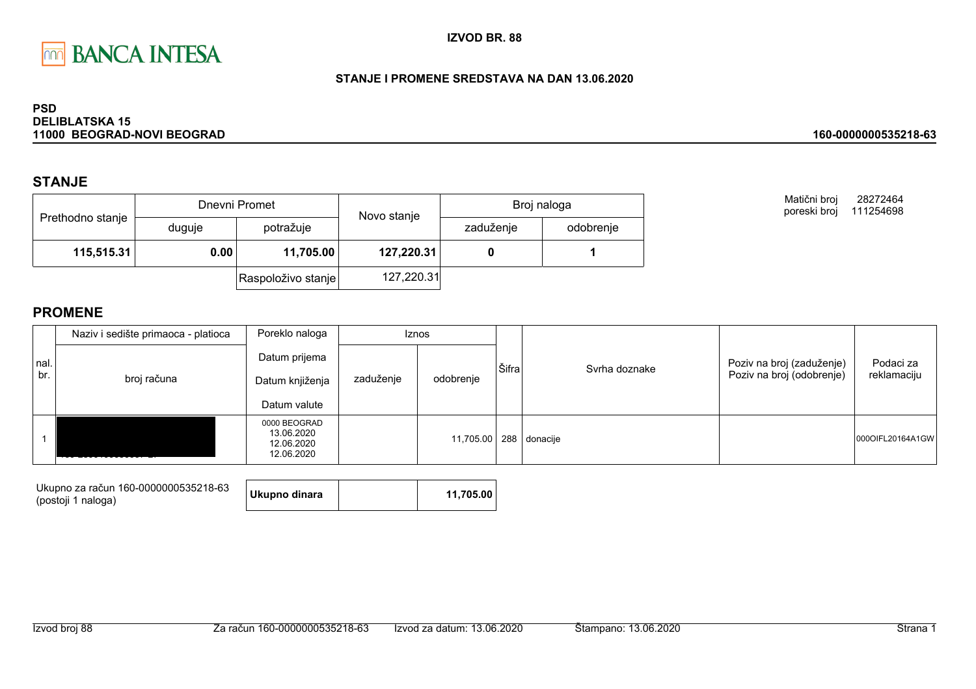

### STANJE I PROMENE SREDSTAVA NA DAN 13.06.2020

#### **PSD DELIBLATSKA 15** 11000 BEOGRAD-NOVI BEOGRAD

## **STANJE**

|                  |        | Dnevni Promet      | Novo stanje | Broj naloga |           |  |
|------------------|--------|--------------------|-------------|-------------|-----------|--|
| Prethodno stanje | duguje | potražuje          |             | zaduženje   | odobrenje |  |
| 115,515.31       | 0.00   | 11,705.00          | 127,220.31  |             |           |  |
|                  |        | Raspoloživo stanje | 127,220.31  |             |           |  |

Matični broj 28272464 poreski broj 111254698

160-0000000535218-63

|             | Naziv i sedište primaoca - platioca | Poreklo naloga                                         |           | Iznos                  |       |               |                                                        |                          |
|-------------|-------------------------------------|--------------------------------------------------------|-----------|------------------------|-------|---------------|--------------------------------------------------------|--------------------------|
| nal.<br>br. | broj računa                         | Datum prijema<br>Datum knjiženja                       | zaduženje | odobrenje              | Šifra | Syrha doznake | Poziv na broj (zaduženje)<br>Poziv na broj (odobrenje) | Podaci za<br>reklamaciju |
|             |                                     | Datum valute                                           |           |                        |       |               |                                                        |                          |
|             |                                     | 0000 BEOGRAD<br>13.06.2020<br>12.06.2020<br>12.06.2020 |           | 11,705.00 288 donacije |       |               |                                                        | 0000IFL20164A1GW         |

| Ukupno za račun 160-0000000535218-63<br>(postoji 1 naloga) | Ukupno dinara | 11.705.00 |
|------------------------------------------------------------|---------------|-----------|
|                                                            |               |           |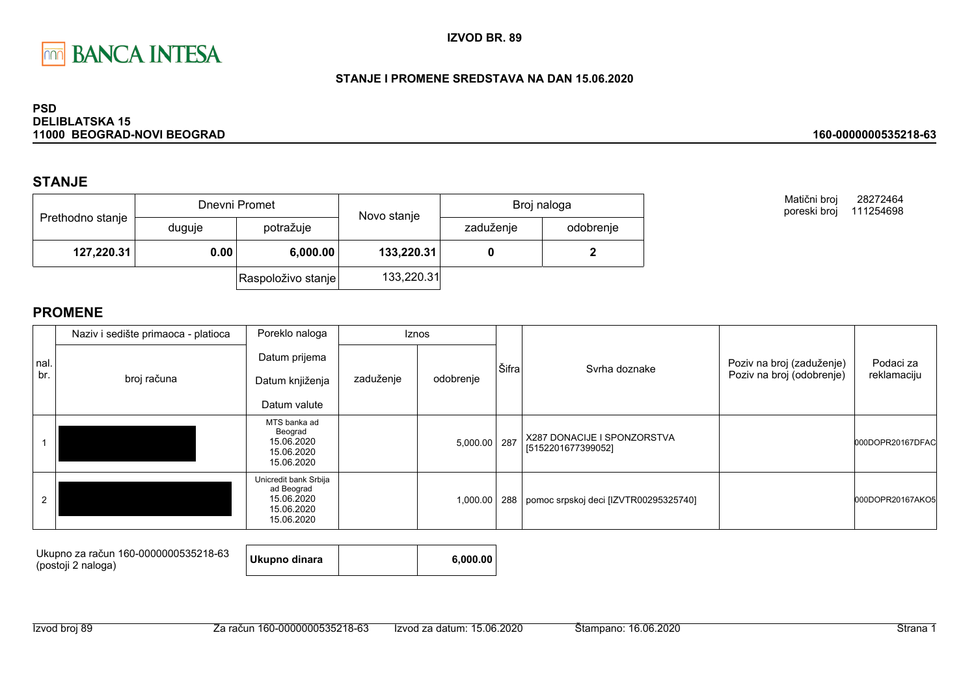

### STANJE I PROMENE SREDSTAVA NA DAN 15.06.2020

#### **PSD DELIBLATSKA 15** 11000 BEOGRAD-NOVI BEOGRAD

## **STANJE**

|                  |        | Dnevni Promet      | Novo stanje | Broj naloga |           |  |
|------------------|--------|--------------------|-------------|-------------|-----------|--|
| Prethodno stanje | duguje | potražuje          |             | zaduženje   | odobrenje |  |
| 127,220.31       | 0.00   | 6,000.00           | 133,220.31  |             |           |  |
|                  |        | Raspoloživo stanje | 133,220.31  |             |           |  |

**PROMENE** 

|             | Naziv i sedište primaoca - platioca | Poreklo naloga                                                                | <b>Iznos</b> |           |       |                                                   |                                                        |                          |
|-------------|-------------------------------------|-------------------------------------------------------------------------------|--------------|-----------|-------|---------------------------------------------------|--------------------------------------------------------|--------------------------|
| nal.<br>br. | broj računa                         | Datum prijema<br>Datum knjiženja<br>Datum valute                              | zaduženje    | odobrenje | Šifra | Svrha doznake                                     | Poziv na broj (zaduženje)<br>Poziv na broj (odobrenje) | Podaci za<br>reklamaciju |
|             |                                     | MTS banka ad<br>Beograd<br>15.06.2020<br>15.06.2020<br>15.06.2020             |              | 5,000.00  | 287   | X287 DONACIJE I SPONZORSTVA<br>[5152201677399052] |                                                        | 000DOPR20167DFAC         |
| 2           |                                     | Unicredit bank Srbija<br>ad Beograd<br>15.06.2020<br>15.06.2020<br>15.06.2020 |              | 1,000.00  | 288   | pomoc srpskoj deci [IZVTR00295325740]             |                                                        | 000DOPR20167AKO5         |

| Ukupno za račun 160-0000000535218-63 |               |          |
|--------------------------------------|---------------|----------|
| (postoji 2 naloga)                   | Ukupno dinara | 6.000.00 |

28272464

Matični broj

poreski broj 111254698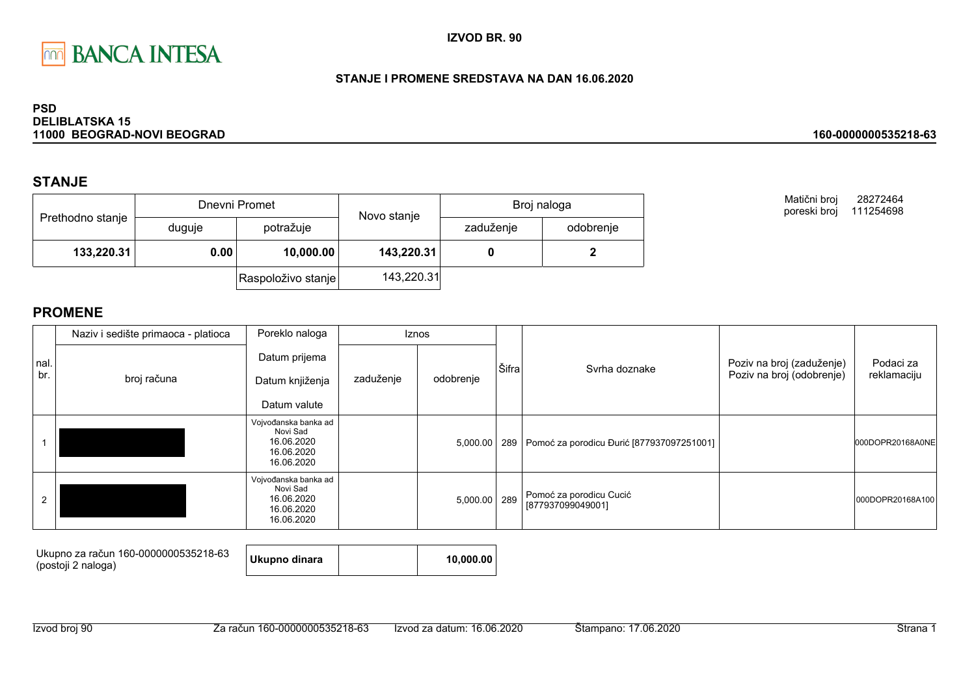

### STANJE I PROMENE SREDSTAVA NA DAN 16.06.2020

#### **PSD DELIBLATSKA 15** 11000 BEOGRAD-NOVI BEOGRAD

## **STANJE**

|                  |        | Dnevni Promet      | Novo stanje | Broj naloga |           |  |
|------------------|--------|--------------------|-------------|-------------|-----------|--|
| Prethodno stanje | duguje | potražuje          |             | zaduženje   | odobrenje |  |
| 133,220.31       | 0.00   | 10,000.00          | 143,220.31  |             |           |  |
|                  |        | Raspoloživo stanje | 143,220.31  |             |           |  |

Matični broj 28272464 poreski broj 111254698

160-0000000535218-63

|             | Naziv i sedište primaoca - platioca | Poreklo naloga                                                             |           | <b>Iznos</b> |       |                                                 |                                                        |                          |
|-------------|-------------------------------------|----------------------------------------------------------------------------|-----------|--------------|-------|-------------------------------------------------|--------------------------------------------------------|--------------------------|
| nal.<br>br. | broj računa                         | Datum prijema<br>Datum knjiženja<br>Datum valute                           | zaduženje | odobrenje    | Šifra | Svrha doznake                                   | Poziv na broj (zaduženje)<br>Poziv na broj (odobrenje) | Podaci za<br>reklamaciju |
|             |                                     | Vojvođanska banka ad<br>Novi Sad<br>16.06.2020<br>16.06.2020<br>16.06.2020 |           | 5,000.00     |       | 289   Pomoć za porodicu Đurić [877937097251001] |                                                        | 000DOPR20168A0NE         |
|             |                                     | Vojvođanska banka ad<br>Novi Sad<br>16.06.2020<br>16.06.2020<br>16.06.2020 |           | 5,000.00     | 289   | Pomoć za porodicu Cucić<br>[877937099049001]    |                                                        | 000DOPR20168A100         |

| Ukupno za račun 160-0000000535218-63<br>(postoji 2 naloga) | Ukupno dinara | 10.000.00 |
|------------------------------------------------------------|---------------|-----------|
|                                                            |               |           |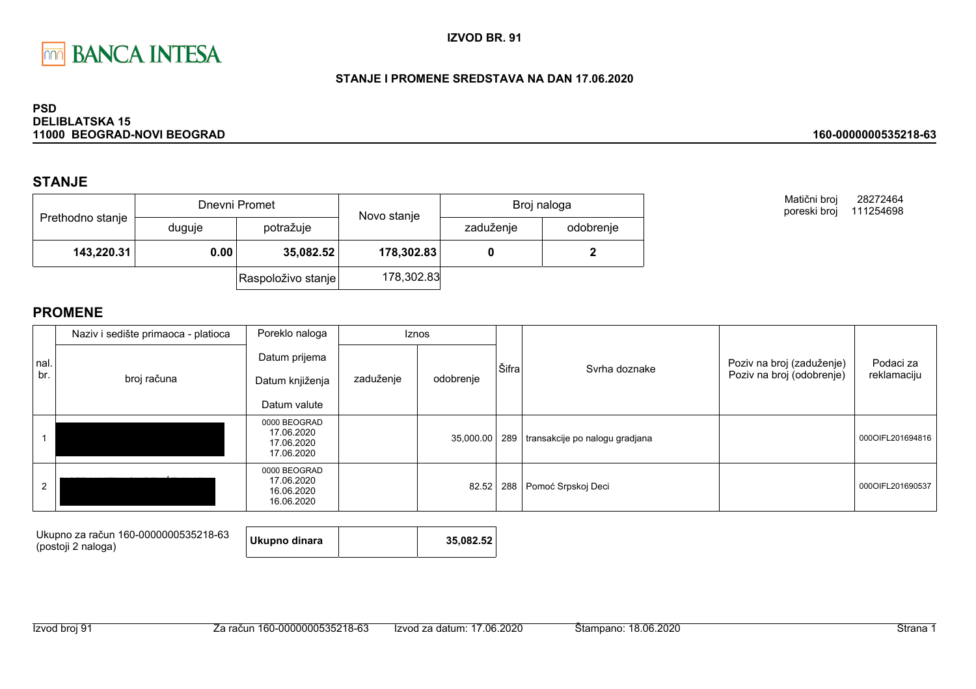

### STANJE I PROMENE SREDSTAVA NA DAN 17.06.2020

#### **PSD DELIBLATSKA 15** 11000 BEOGRAD-NOVI BEOGRAD

## **STANJE**

| Prethodno stanje |        | Dnevni Promet      | Novo stanje | Broj naloga |           |  |
|------------------|--------|--------------------|-------------|-------------|-----------|--|
|                  | duguje | potražuje          |             | zaduženje   | odobrenje |  |
| 143,220.31       | 0.00   | 35,082.52          | 178,302.83  |             |           |  |
|                  |        | Raspoloživo stanje | 178,302.83  |             |           |  |

Matični broj 28272464 poreski broj 111254698

160-0000000535218-63

|              | Naziv i sedište primaoca - platioca | Poreklo naloga                                         | <b>Iznos</b> |           |       |                                  |                           |                  |
|--------------|-------------------------------------|--------------------------------------------------------|--------------|-----------|-------|----------------------------------|---------------------------|------------------|
| Inal.<br>br. |                                     | Datum prijema                                          |              |           |       |                                  | Poziv na broj (zaduženje) | Podaci za        |
|              | broj računa                         | Datum knjiženja                                        | zaduženje    | odobrenje | Šifra | Syrha doznake                    | Poziv na broj (odobrenje) | reklamaciju      |
|              |                                     | Datum valute                                           |              |           |       |                                  |                           |                  |
|              |                                     | 0000 BEOGRAD<br>17.06.2020<br>17.06.2020<br>17.06.2020 |              | 35,000.00 | 289   | transakcije po nalogu gradjana   |                           | 000OIFL201694816 |
|              |                                     | 0000 BEOGRAD<br>17.06.2020<br>16.06.2020<br>16.06.2020 |              |           |       | 82.52   288   Pomoć Srpskoj Deci |                           | 000OIFL201690537 |

| Ukupno za račun 160-0000000535218-63<br>(postoji 2 naloga) | Ukupno dinara |  | 35.082.52 |
|------------------------------------------------------------|---------------|--|-----------|
|------------------------------------------------------------|---------------|--|-----------|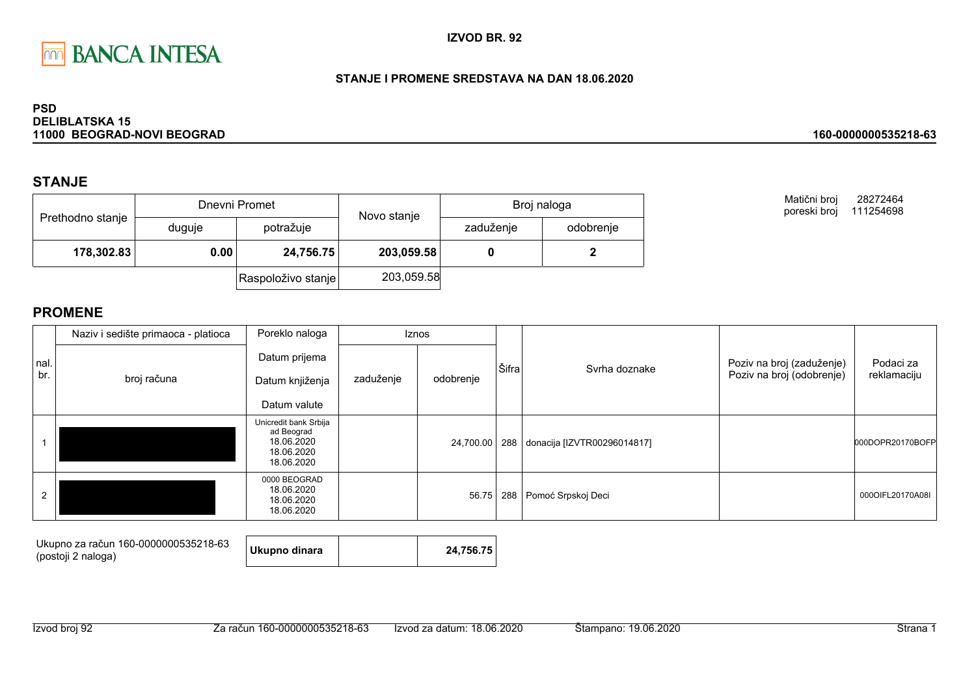

### STANJE I PROMENE SREDSTAVA NA DAN 18.06.2020

#### **PSD DELIBLATSKA 15** 11000 BEOGRAD-NOVI BEOGRAD

## **STANJE**

| Prethodno stanje |        | Dnevni Promet      | Novo stanje | Broj naloga |           |  |
|------------------|--------|--------------------|-------------|-------------|-----------|--|
|                  | duguje | potražuje          |             | zaduženje   | odobrenje |  |
| 178,302.83       | 0.00   | 24,756.75          | 203,059.58  |             |           |  |
|                  |        | Raspoloživo stanje | 203,059.58  |             |           |  |

Matični broj 28272464 poreski broj 111254698

160-0000000535218-63

|             | Naziv i sedište primaoca - platioca | Poreklo naloga<br><b>Iznos</b>                                                |           |           |     |                                 |                           |                  |
|-------------|-------------------------------------|-------------------------------------------------------------------------------|-----------|-----------|-----|---------------------------------|---------------------------|------------------|
| nal.<br>br. |                                     | Datum prijema                                                                 |           |           |     | Svrha doznake                   | Poziv na broj (zaduženje) | Podaci za        |
|             | broj računa<br>Datum knjiženja      | zaduženje                                                                     | odobrenje | Šifra     |     | Poziv na broj (odobrenje)       | reklamaciju               |                  |
|             |                                     | Datum valute                                                                  |           |           |     |                                 |                           |                  |
|             |                                     | Unicredit bank Srbija<br>ad Beograd<br>18.06.2020<br>18.06.2020<br>18.06.2020 |           | 24,700.00 |     | 288 donacija [IZVTR00296014817] |                           | 000DOPR20170BOFF |
| 2           |                                     | 0000 BEOGRAD<br>18.06.2020<br>18.06.2020<br>18.06.2020                        |           | 56.75     | 288 | Pomoć Srpskoj Deci              |                           | 000OIFL20170A08I |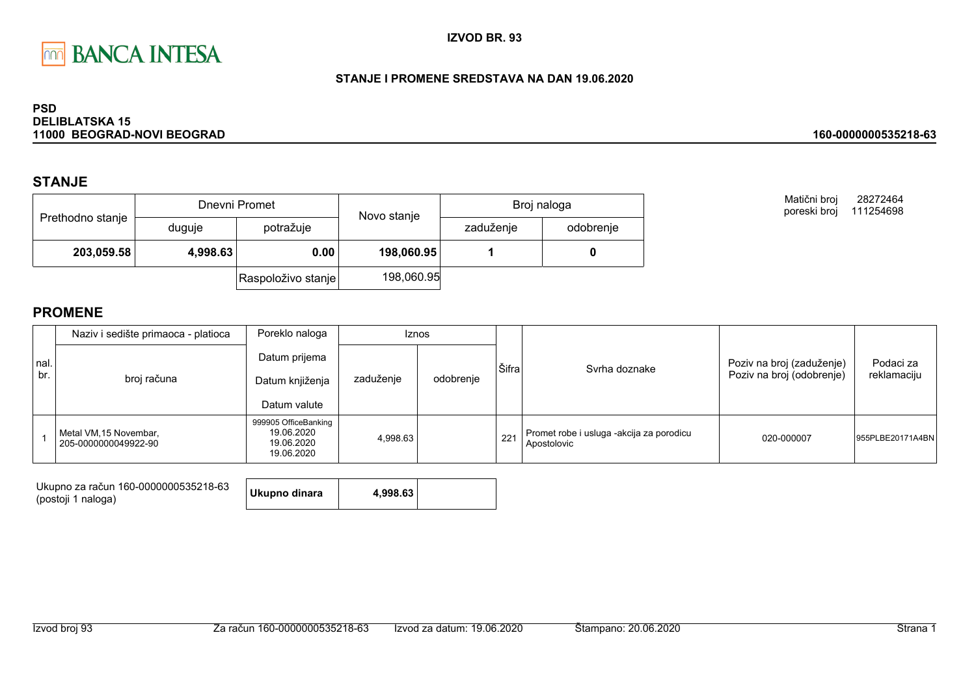

### STANJE I PROMENE SREDSTAVA NA DAN 19.06.2020

#### **PSD DELIBLATSKA 15** 11000 BEOGRAD-NOVI BEOGRAD

## **STANJE**

| Prethodno stanje |          | Dnevni Promet      | Novo stanje | Broj naloga |           |  |
|------------------|----------|--------------------|-------------|-------------|-----------|--|
|                  | duguje   | potražuje          |             | zaduženje   | odobrenje |  |
| 203,059.58       | 4,998.63 | 0.00               | 198,060.95  |             |           |  |
|                  |          | Raspoloživo stanje | 198,060.95  |             |           |  |

Matični broj 28272464 poreski broj 111254698

160-0000000535218-63

|              | Naziv i sedište primaoca - platioca            | Poreklo naloga                                                 | <b>Iznos</b> |           |       |                                                         |                                                        |                          |
|--------------|------------------------------------------------|----------------------------------------------------------------|--------------|-----------|-------|---------------------------------------------------------|--------------------------------------------------------|--------------------------|
| Inal.<br>br. | broj računa                                    | Datum prijema<br>Datum knjiženja<br>Datum valute               | zaduženje    | odobrenje | Šifra | Svrha doznake                                           | Poziv na broj (zaduženje)<br>Poziv na broj (odobrenje) | Podaci za<br>reklamaciju |
|              | Metal VM, 15 Novembar,<br>205-0000000049922-90 | 999905 OfficeBanking<br>19.06.2020<br>19.06.2020<br>19.06.2020 | 4,998.63     |           | 221   | Promet robe i usluga -akcija za porodicu<br>Apostolovic | 020-000007                                             | 955PLBE20171A4BN         |

| Ukupno za račun 160-0000000535218-63 | Ukupno dinara | 4,998.63 |  |
|--------------------------------------|---------------|----------|--|
| (postoji 1 naloga)                   |               |          |  |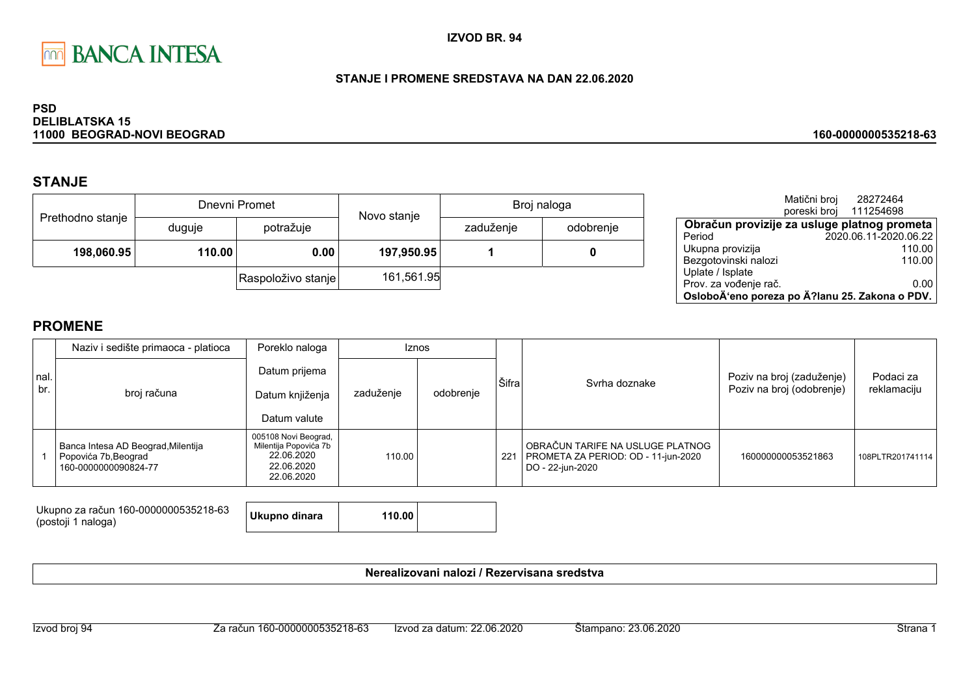

### STANJE I PROMENE SREDSTAVA NA DAN 22.06.2020

#### **PSD DELIBLATSKA 15** 11000 BEOGRAD-NOVI BEOGRAD

## **STANJE**

| Prethodno stanje |        | Dnevni Promet      | Novo stanje | Broj naloga |           |  |
|------------------|--------|--------------------|-------------|-------------|-----------|--|
|                  | duguje | potražuje          |             | zaduženje   | odobrenje |  |
| 198,060.95       | 110.00 | 0.00               | 197,950.95  |             |           |  |
|                  |        | Raspoloživo stanje | 161,561.95  |             |           |  |

|                                                | Matični broj | 28272464              |  |  |  |
|------------------------------------------------|--------------|-----------------------|--|--|--|
|                                                | poreski broj | 111254698             |  |  |  |
| Obračun provizije za usluge platnog prometa    |              |                       |  |  |  |
| Period                                         |              | 2020.06.11-2020.06.22 |  |  |  |
| Ukupna provizija                               |              | 110.00                |  |  |  |
| Bezgotovinski nalozi                           |              | 110.00                |  |  |  |
| Uplate / Isplate                               |              |                       |  |  |  |
| Prov. za vođenje rač.                          |              | 0.00                  |  |  |  |
| OsloboÄ'eno poreza po Ä?lanu 25. Zakona o PDV. |              |                       |  |  |  |

160-0000000535218-63

## **PROMENE**

|              | Naziv i sedište primaoca - platioca                                                | Poreklo naloga                                                                          | <b>Iznos</b> |           |       |                                                                                             |                                                        |                          |
|--------------|------------------------------------------------------------------------------------|-----------------------------------------------------------------------------------------|--------------|-----------|-------|---------------------------------------------------------------------------------------------|--------------------------------------------------------|--------------------------|
| Inal.<br>br. | broj računa                                                                        | Datum prijema<br>Datum knjiženja<br>Datum valute                                        | zaduženje    | odobrenje | Šifra | Syrha doznake                                                                               | Poziv na broj (zaduženje)<br>Poziv na broj (odobrenje) | Podaci za<br>reklamaciju |
|              | Banca Intesa AD Beograd, Milentija<br>Popovića 7b, Beograd<br>160-0000000090824-77 | 005108 Novi Beograd,<br>Milentija Popovića 7b<br>22.06.2020<br>22.06.2020<br>22.06.2020 | 110.00       |           | 221   | OBRAČUN TARIFE NA USLUGE PLATNOG<br>PROMETA ZA PERIOD: OD - 11-jun-2020<br>DO - 22-jun-2020 | 160000000053521863                                     | 108PLTR201741114         |

Ukupno za račun 160-0000000535218-63 **Ukupno dinara** 110.00 (postoji 1 naloga)

Nerealizovani nalozi / Rezervisana sredstva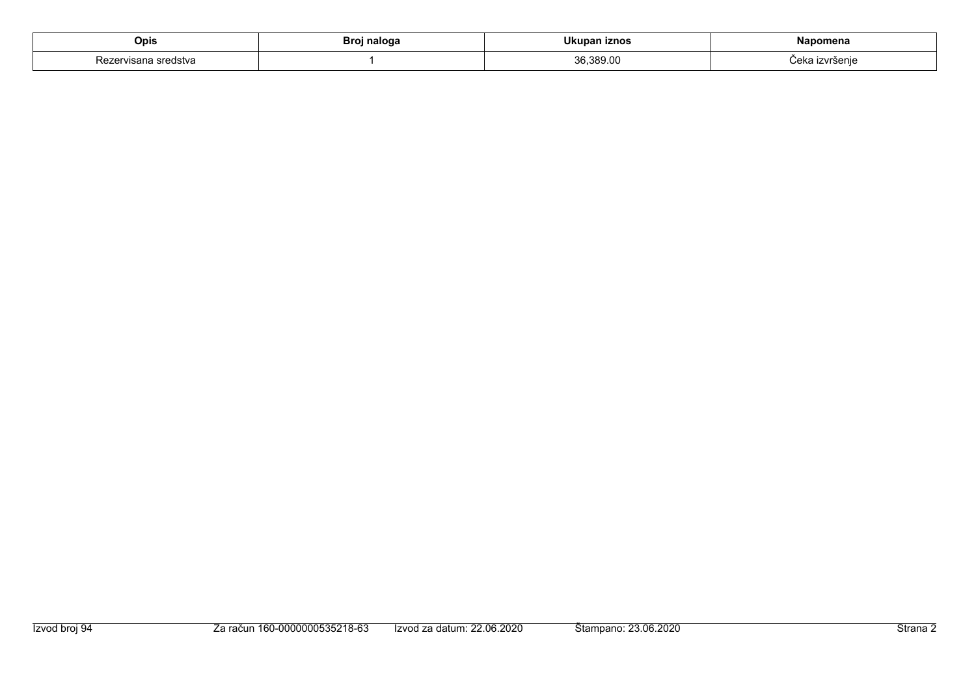| Opis   | naloga | - --                        |                             |
|--------|--------|-----------------------------|-----------------------------|
| :usivc |        | $\sim$<br>.J.OC.<br>^^<br>. | ré∆ni<br>$\sim$<br>៴៲៰ច៲៲៲៶ |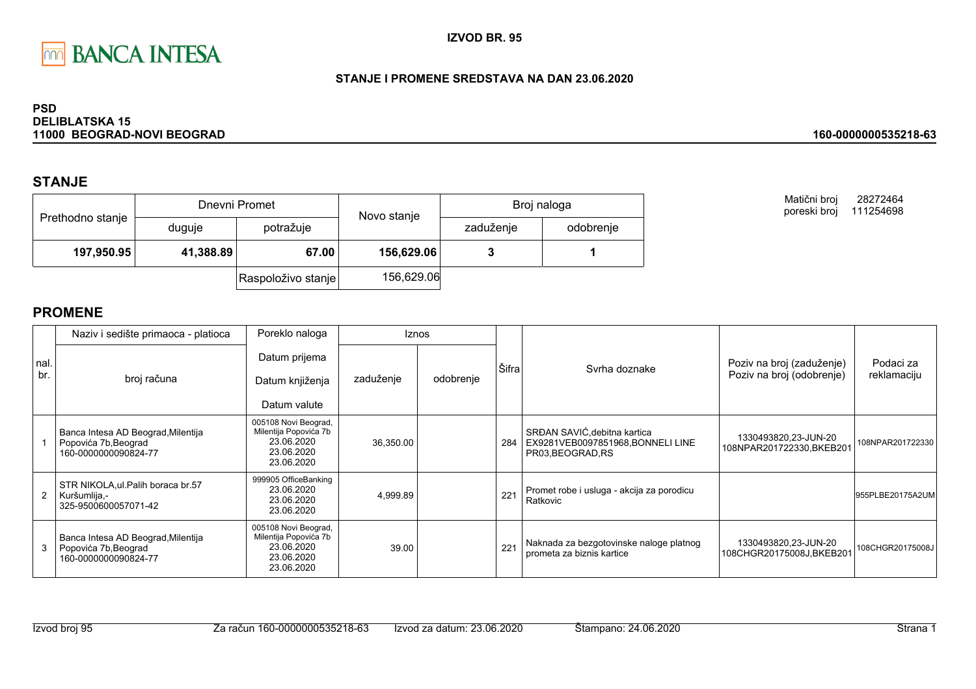

### STANJE I PROMENE SREDSTAVA NA DAN 23.06.2020

#### **PSD DELIBLATSKA 15** 11000 BEOGRAD-NOVI BEOGRAD

## **STANJE**

|                  |           | Dnevni Promet      | Novo stanje | Broj naloga |           |  |
|------------------|-----------|--------------------|-------------|-------------|-----------|--|
| Prethodno stanje | duguje    | potražuje          |             | zaduženje   | odobrenje |  |
| 197,950.95       | 41,388.89 | 67.00              | 156,629.06  |             |           |  |
|                  |           | Raspoloživo stanje | 156,629.06  |             |           |  |

Matični broj 28272464 poreski broj 111254698

160-0000000535218-63

| Inal.<br>br. | Naziv i sedište primaoca - platioca                                                | Poreklo naloga                                                                          | <b>Iznos</b> |           |       |                                                                                        |                                                   |                  |
|--------------|------------------------------------------------------------------------------------|-----------------------------------------------------------------------------------------|--------------|-----------|-------|----------------------------------------------------------------------------------------|---------------------------------------------------|------------------|
|              |                                                                                    | Datum prijema                                                                           |              |           | Šifra | Syrha doznake                                                                          | Poziv na broj (zaduženje)                         | Podaci za        |
|              | broj računa                                                                        | Datum knjiženja                                                                         | zaduženje    | odobrenje |       |                                                                                        | Poziv na broj (odobrenje)                         | reklamaciju      |
|              |                                                                                    | Datum valute                                                                            |              |           |       |                                                                                        |                                                   |                  |
|              | Banca Intesa AD Beograd, Milentija<br>Popovića 7b, Beograd<br>160-0000000090824-77 | 005108 Novi Beograd,<br>Milentija Popovića 7b<br>23.06.2020<br>23.06.2020<br>23.06.2020 | 36,350.00    |           | 284   | SRĐAN SAVIĆ, debitna kartica<br>EX9281VEB0097851968, BONNELI LINE<br>PR03, BEOGRAD, RS | 1330493820,23-JUN-20<br>108NPAR201722330, BKEB201 | 108NPAR201722330 |
|              | STR NIKOLA, ul. Palih boraca br.57<br>Kuršumlija,-<br>325-9500600057071-42         | 999905 OfficeBanking<br>23.06.2020<br>23.06.2020<br>23.06.2020                          | 4,999.89     |           | 221   | Promet robe i usluga - akcija za porodicu<br>Ratkovic                                  |                                                   | 955PLBE20175A2UM |
| 3            | Banca Intesa AD Beograd, Milentija<br>Popovića 7b, Beograd<br>160-0000000090824-77 | 005108 Novi Beograd,<br>Milentija Popovića 7b<br>23.06.2020<br>23.06.2020<br>23.06.2020 | 39.00        |           | 221   | Naknada za bezgotovinske naloge platnog<br>prometa za biznis kartice                   | 1330493820,23-JUN-20<br>108CHGR20175008J,BKEB201  | 108CHGR20175008J |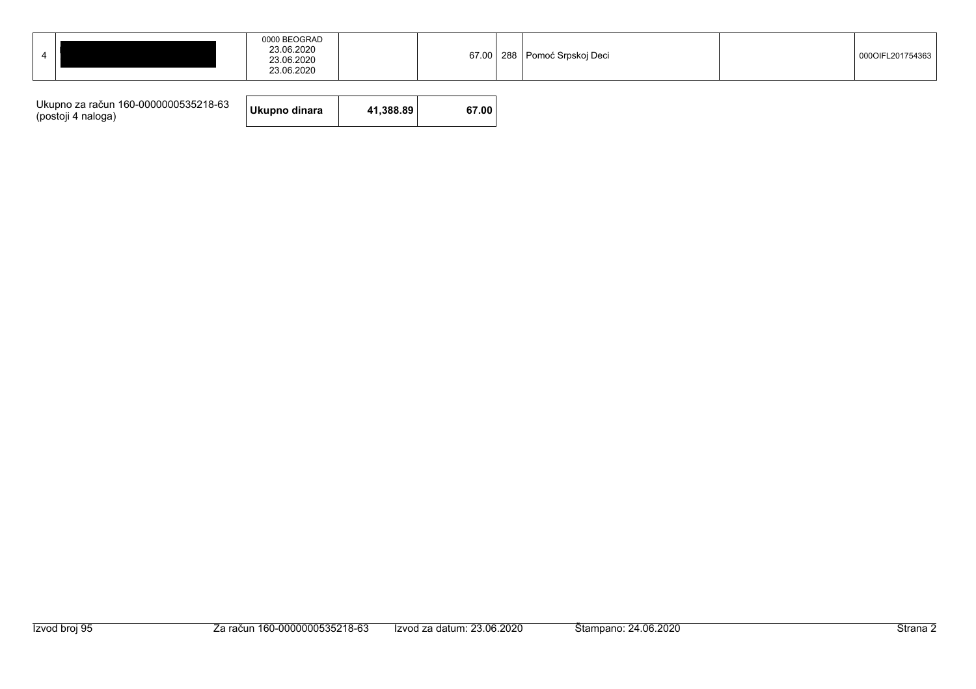|--|

| Ukupno za račun 160-0000000535218-63<br>(postoji 4 naloga) | Ukupno dinara | 41.388.89 | 67.00 |
|------------------------------------------------------------|---------------|-----------|-------|
|------------------------------------------------------------|---------------|-----------|-------|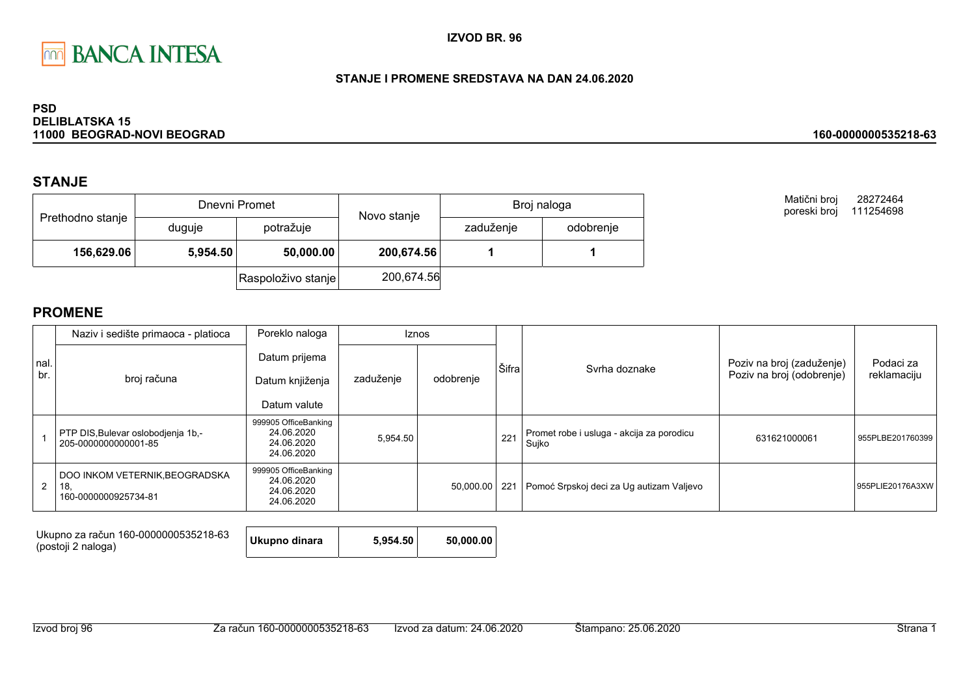

### STANJE I PROMENE SREDSTAVA NA DAN 24.06.2020

#### **PSD DELIBLATSKA 15** 11000 BEOGRAD-NOVI BEOGRAD

## **STANJE**

|                  |                                     | Dnevni Promet      | Novo stanje | Broj naloga |           |  |
|------------------|-------------------------------------|--------------------|-------------|-------------|-----------|--|
| Prethodno stanje | duguje                              | potražuje          |             | zaduženje   | odobrenje |  |
|                  | 156,629.06<br>50,000.00<br>5,954.50 |                    | 200,674.56  |             |           |  |
|                  |                                     | Raspoloživo stanje | 200,674.56  |             |           |  |

Matični broj 28272464 poreski broj 111254698

160-0000000535218-63

|                | Naziv i sedište primaoca - platioca                           | Poreklo naloga                                                 | <b>Iznos</b> |           |       |                                                    |                           |                  |
|----------------|---------------------------------------------------------------|----------------------------------------------------------------|--------------|-----------|-------|----------------------------------------------------|---------------------------|------------------|
| Inal.          |                                                               | Datum prijema                                                  |              |           | Šifra | Svrha doznake                                      | Poziv na broj (zaduženje) | Podaci za        |
| br.            | broj računa                                                   | Datum knjiženja                                                | zaduženje    | odobrenje |       |                                                    | Poziv na broj (odobrenje) | reklamaciju      |
|                |                                                               | Datum valute                                                   |              |           |       |                                                    |                           |                  |
|                | PTP DIS, Bulevar oslobodjenja 1b,-<br>205-0000000000001-85    | 999905 OfficeBanking<br>24.06.2020<br>24.06.2020<br>24.06.2020 | 5,954.50     |           | 221   | Promet robe i usluga - akcija za porodicu<br>Sujko | 631621000061              | 955PLBE201760399 |
| $\overline{2}$ | DOO INKOM VETERNIK, BEOGRADSKA<br>18.<br>160-0000000925734-81 | 999905 OfficeBanking<br>24.06.2020<br>24.06.2020<br>24.06.2020 |              | 50,000.00 | 221   | Pomoć Srpskoj deci za Ug autizam Valjevo           |                           | 955PLIE20176A3XW |

| Ukupno za račun 160-0000000535218-63<br>(postoji 2 naloga) | Ukupno dinara | 5.954.50 | 50.000.00 |
|------------------------------------------------------------|---------------|----------|-----------|
|------------------------------------------------------------|---------------|----------|-----------|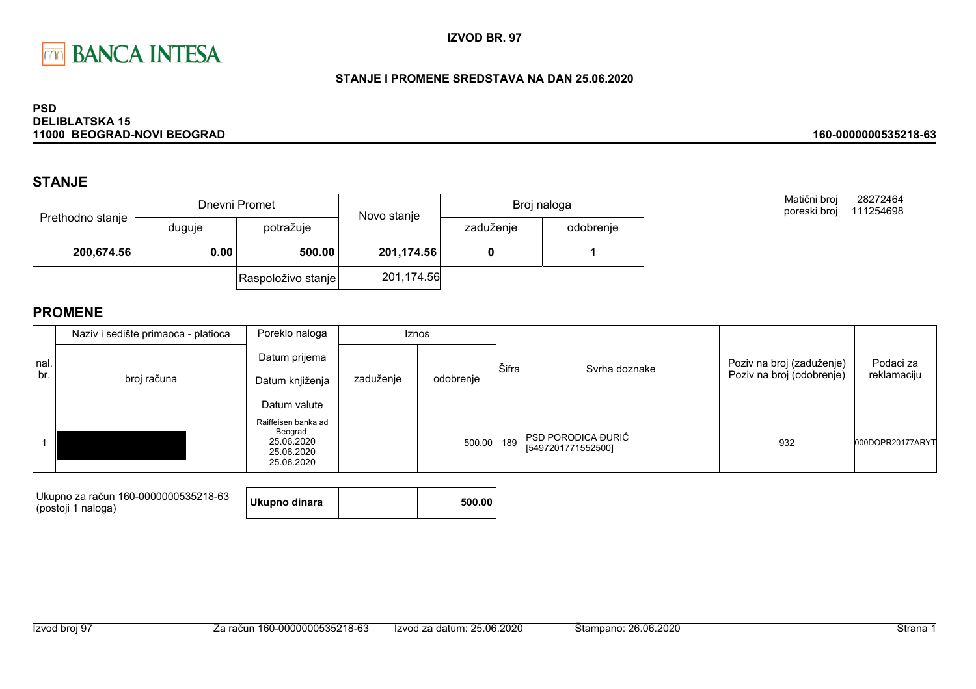

### STANJE I PROMENE SREDSTAVA NA DAN 25.06.2020

#### **PSD DELIBLATSKA 15** 11000 BEOGRAD-NOVI BEOGRAD

## **STANJE**

|                  |        | Dnevni Promet      | Novo stanje | Broj naloga |           |  |
|------------------|--------|--------------------|-------------|-------------|-----------|--|
| Prethodno stanje | duguje | potražuje          |             | zaduženje   | odobrenje |  |
| 200,674.56       | 0.00   | 500.00             | 201,174.56  |             |           |  |
|                  |        | Raspoloživo stanje | 201,174.56  |             |           |  |

Matični broj 28272464 poreski broj 111254698

160-0000000535218-63

|             | Naziv i sedište primaoca - platioca | Poreklo naloga                                                           | <b>Iznos</b> |           |       |                                                 |                                                        |                          |  |
|-------------|-------------------------------------|--------------------------------------------------------------------------|--------------|-----------|-------|-------------------------------------------------|--------------------------------------------------------|--------------------------|--|
| nal.<br>br. | broj računa                         | Datum prijema<br>Datum knjiženja<br>Datum valute                         | zaduženje    | odobrenje | Šifra | Syrha doznake                                   | Poziv na broj (zaduženje)<br>Poziv na broj (odobrenje) | Podaci za<br>reklamaciju |  |
|             |                                     | Raiffeisen banka ad<br>Beograd<br>25.06.2020<br>25.06.2020<br>25.06.2020 |              | 500.00    | 189   | <b>PSD PORODICA ĐURIĆ</b><br>[5497201771552500] | 932                                                    | 000DOPR20177ARYT         |  |

| Ukupno za račun 160-0000000535218-63<br>(postoji 1 naloga) | Ukupno dinara |  | 500.00 |
|------------------------------------------------------------|---------------|--|--------|
|------------------------------------------------------------|---------------|--|--------|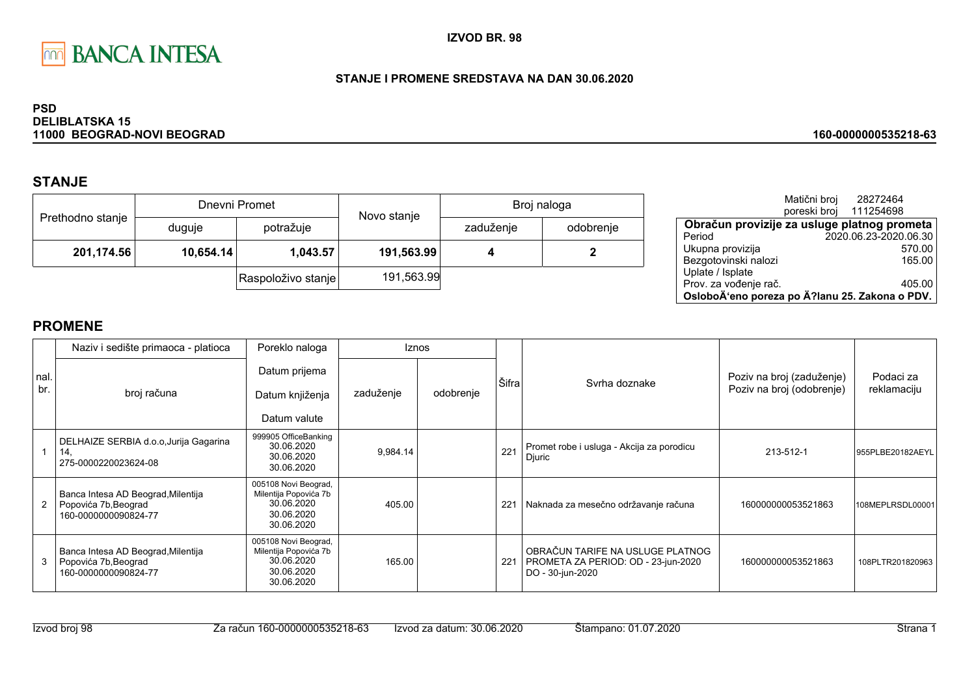

### STANJE I PROMENE SREDSTAVA NA DAN 30.06.2020

#### **PSD DELIBLATSKA 15** 11000 BEOGRAD-NOVI BEOGRAD

# **STANJE**

|                  |           | Dnevni Promet      | Novo stanje | Broj naloga |           |  |
|------------------|-----------|--------------------|-------------|-------------|-----------|--|
| Prethodno stanje | duguje    | potražuje          |             | zaduženje   | odobrenje |  |
| 201,174.56       | 10,654.14 | 1,043.57           | 191,563.99  |             |           |  |
|                  |           | Raspoloživo stanje | 191,563.99  |             |           |  |

|                                                | Matični broj<br>poreski broj | 28272464<br>111254698 |  |
|------------------------------------------------|------------------------------|-----------------------|--|
| Obračun provizije za usluge platnog prometa    |                              |                       |  |
| Period                                         |                              | 2020.06.23-2020.06.30 |  |
| Ukupna provizija                               |                              | 570.00                |  |
| Bezgotovinski nalozi                           |                              | 165.00                |  |
| Uplate / Isplate                               |                              |                       |  |
| Prov. za vođenje rač.                          |                              | 405.00                |  |
| OsloboÄ'eno poreza po Ä?lanu 25. Zakona o PDV. |                              |                       |  |

160-0000000535218-63

|              | Poreklo naloga<br>Naziv i sedište primaoca - platioca<br><b>Iznos</b>              |                                                                                         |           |           |       |                                                                                             |                                                        |                          |
|--------------|------------------------------------------------------------------------------------|-----------------------------------------------------------------------------------------|-----------|-----------|-------|---------------------------------------------------------------------------------------------|--------------------------------------------------------|--------------------------|
| Inal.<br>br. | broj računa                                                                        | Datum prijema<br>Datum knjiženja<br>Datum valute                                        | zaduženje | odobrenje | Šifra | Syrha doznake                                                                               | Poziv na broj (zaduženje)<br>Poziv na broj (odobrenje) | Podaci za<br>reklamaciju |
|              | DELHAIZE SERBIA d.o.o, Jurija Gagarina<br>14.<br>275-0000220023624-08              | 999905 OfficeBanking<br>30.06.2020<br>30.06.2020<br>30.06.2020                          | 9,984.14  |           | 221   | Promet robe i usluga - Akcija za porodicu<br>Djuric                                         | 213-512-1                                              | 955PLBE20182AEYL         |
|              | Banca Intesa AD Beograd, Milentija<br>Popovića 7b, Beograd<br>160-0000000090824-77 | 005108 Novi Beograd,<br>Milentija Popovića 7b<br>30.06.2020<br>30.06.2020<br>30.06.2020 | 405.00    |           | 221   | Naknada za mesečno održavanje računa                                                        | 160000000053521863                                     | 108MEPLRSDL00001         |
| 3            | Banca Intesa AD Beograd, Milentija<br>Popovića 7b, Beograd<br>160-0000000090824-77 | 005108 Novi Beograd,<br>Milentija Popovića 7b<br>30.06.2020<br>30.06.2020<br>30.06.2020 | 165.00    |           | 221   | OBRAČUN TARIFE NA USLUGE PLATNOG<br>PROMETA ZA PERIOD: OD - 23-jun-2020<br>DO - 30-jun-2020 | 160000000053521863                                     | 108PLTR201820963         |